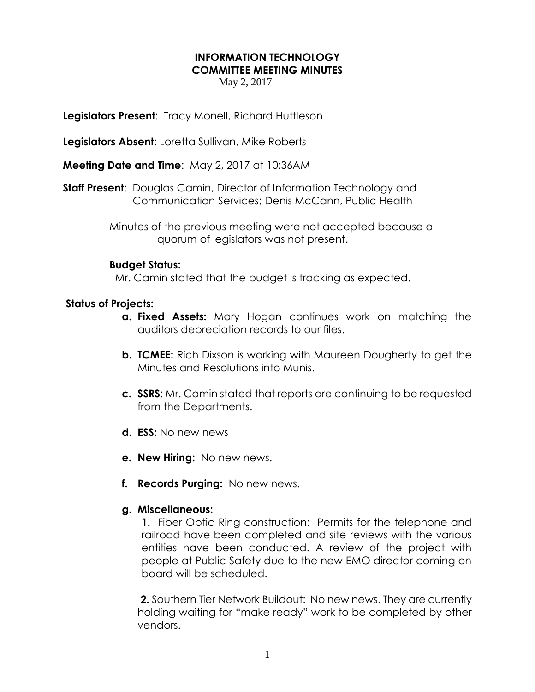# **INFORMATION TECHNOLOGY COMMITTEE MEETING MINUTES**

May 2, 2017

**Legislators Present**: Tracy Monell, Richard Huttleson

**Legislators Absent:** Loretta Sullivan, Mike Roberts

**Meeting Date and Time**: May 2, 2017 at 10:36AM

**Staff Present**: Douglas Camin, Director of Information Technology and Communication Services; Denis McCann, Public Health

> Minutes of the previous meeting were not accepted because a quorum of legislators was not present.

### **Budget Status:**

Mr. Camin stated that the budget is tracking as expected.

### **Status of Projects:**

- **a. Fixed Assets:** Mary Hogan continues work on matching the auditors depreciation records to our files.
- **b. TCMEE:** Rich Dixson is working with Maureen Dougherty to get the Minutes and Resolutions into Munis.
- **c. SSRS:** Mr. Camin stated that reports are continuing to be requested from the Departments.
- **d. ESS:** No new news
- **e. New Hiring:** No new news.
- **f. Records Purging:** No new news.

#### **g. Miscellaneous:**

**1.** Fiber Optic Ring construction: Permits for the telephone and railroad have been completed and site reviews with the various entities have been conducted. A review of the project with people at Public Safety due to the new EMO director coming on board will be scheduled.

**2.** Southern Tier Network Buildout: No new news. They are currently holding waiting for "make ready" work to be completed by other vendors.